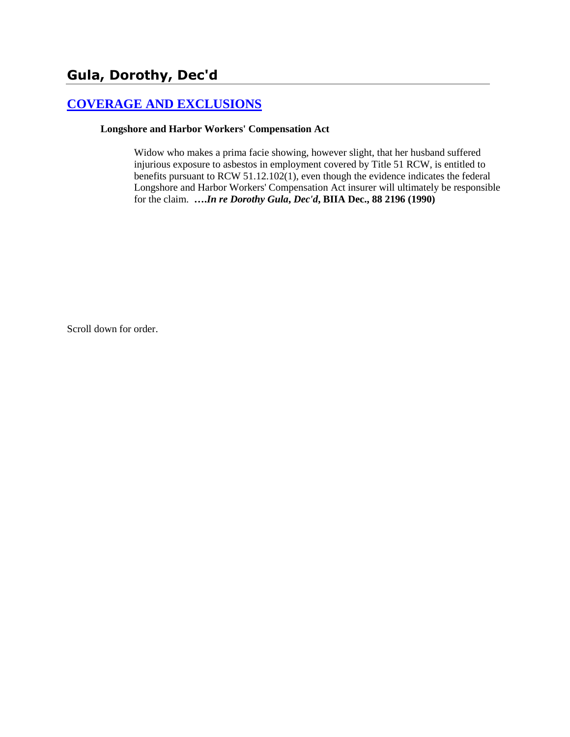# **[COVERAGE AND EXCLUSIONS](http://www.biia.wa.gov/SDSubjectIndex.html#COVERAGE_AND_EXCLUSIONS)**

#### **Longshore and Harbor Workers' Compensation Act**

Widow who makes a prima facie showing, however slight, that her husband suffered injurious exposure to asbestos in employment covered by Title 51 RCW, is entitled to benefits pursuant to RCW 51.12.102(1), even though the evidence indicates the federal Longshore and Harbor Workers' Compensation Act insurer will ultimately be responsible for the claim. **….***In re Dorothy Gula***,** *Dec'd***, BIIA Dec., 88 2196 (1990)** 

Scroll down for order.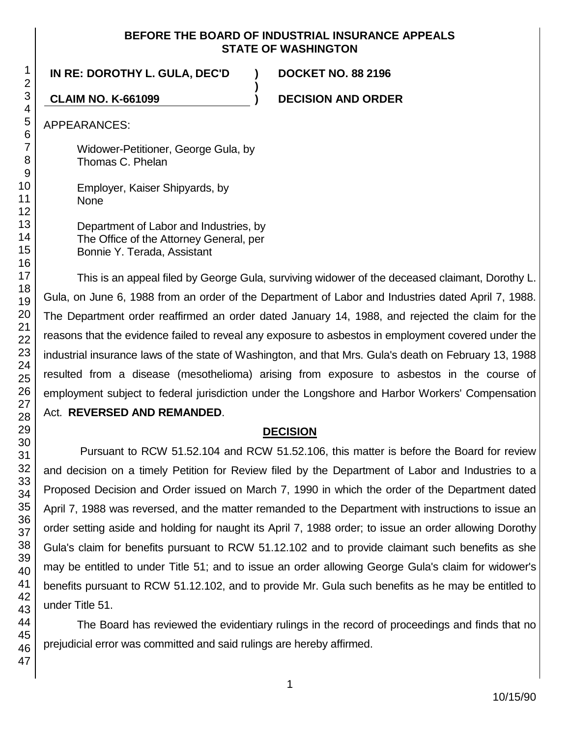#### **BEFORE THE BOARD OF INDUSTRIAL INSURANCE APPEALS STATE OF WASHINGTON**

**)**

**IN RE: DOROTHY L. GULA, DEC'D ) DOCKET NO. 88 2196**

**CLAIM NO. K-661099 ) DECISION AND ORDER**

APPEARANCES:

Widower-Petitioner, George Gula, by Thomas C. Phelan

Employer, Kaiser Shipyards, by None

Department of Labor and Industries, by The Office of the Attorney General, per Bonnie Y. Terada, Assistant

This is an appeal filed by George Gula, surviving widower of the deceased claimant, Dorothy L. Gula, on June 6, 1988 from an order of the Department of Labor and Industries dated April 7, 1988. The Department order reaffirmed an order dated January 14, 1988, and rejected the claim for the reasons that the evidence failed to reveal any exposure to asbestos in employment covered under the industrial insurance laws of the state of Washington, and that Mrs. Gula's death on February 13, 1988 resulted from a disease (mesothelioma) arising from exposure to asbestos in the course of employment subject to federal jurisdiction under the Longshore and Harbor Workers' Compensation

## Act. **REVERSED AND REMANDED**.

# **DECISION**

 Pursuant to RCW 51.52.104 and RCW 51.52.106, this matter is before the Board for review and decision on a timely Petition for Review filed by the Department of Labor and Industries to a Proposed Decision and Order issued on March 7, 1990 in which the order of the Department dated April 7, 1988 was reversed, and the matter remanded to the Department with instructions to issue an order setting aside and holding for naught its April 7, 1988 order; to issue an order allowing Dorothy Gula's claim for benefits pursuant to RCW 51.12.102 and to provide claimant such benefits as she may be entitled to under Title 51; and to issue an order allowing George Gula's claim for widower's benefits pursuant to RCW 51.12.102, and to provide Mr. Gula such benefits as he may be entitled to under Title 51.

The Board has reviewed the evidentiary rulings in the record of proceedings and finds that no prejudicial error was committed and said rulings are hereby affirmed.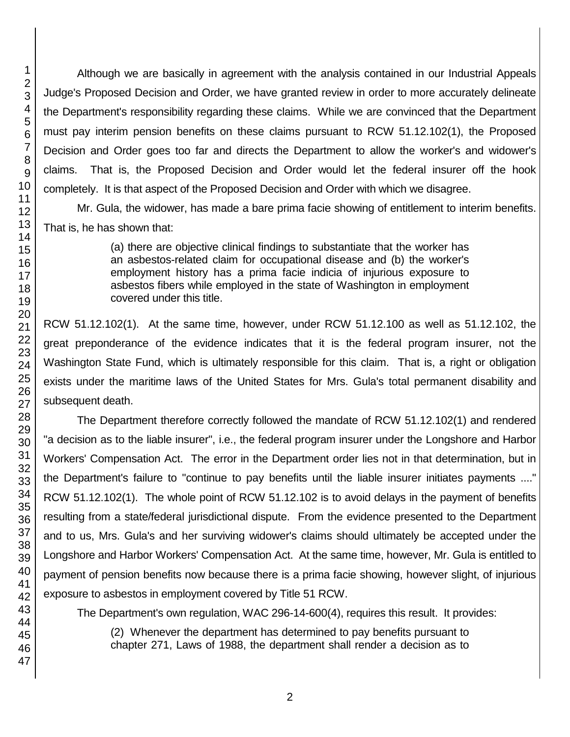Although we are basically in agreement with the analysis contained in our Industrial Appeals Judge's Proposed Decision and Order, we have granted review in order to more accurately delineate the Department's responsibility regarding these claims. While we are convinced that the Department must pay interim pension benefits on these claims pursuant to RCW 51.12.102(1), the Proposed Decision and Order goes too far and directs the Department to allow the worker's and widower's claims. That is, the Proposed Decision and Order would let the federal insurer off the hook completely. It is that aspect of the Proposed Decision and Order with which we disagree.

Mr. Gula, the widower, has made a bare prima facie showing of entitlement to interim benefits. That is, he has shown that:

> (a) there are objective clinical findings to substantiate that the worker has an asbestos-related claim for occupational disease and (b) the worker's employment history has a prima facie indicia of injurious exposure to asbestos fibers while employed in the state of Washington in employment covered under this title.

RCW 51.12.102(1). At the same time, however, under RCW 51.12.100 as well as 51.12.102, the great preponderance of the evidence indicates that it is the federal program insurer, not the Washington State Fund, which is ultimately responsible for this claim. That is, a right or obligation exists under the maritime laws of the United States for Mrs. Gula's total permanent disability and subsequent death.

The Department therefore correctly followed the mandate of RCW 51.12.102(1) and rendered "a decision as to the liable insurer", i.e., the federal program insurer under the Longshore and Harbor Workers' Compensation Act. The error in the Department order lies not in that determination, but in the Department's failure to "continue to pay benefits until the liable insurer initiates payments ...." RCW 51.12.102(1). The whole point of RCW 51.12.102 is to avoid delays in the payment of benefits resulting from a state/federal jurisdictional dispute. From the evidence presented to the Department and to us, Mrs. Gula's and her surviving widower's claims should ultimately be accepted under the Longshore and Harbor Workers' Compensation Act. At the same time, however, Mr. Gula is entitled to payment of pension benefits now because there is a prima facie showing, however slight, of injurious exposure to asbestos in employment covered by Title 51 RCW.

The Department's own regulation, WAC 296-14-600(4), requires this result. It provides:

(2) Whenever the department has determined to pay benefits pursuant to chapter 271, Laws of 1988, the department shall render a decision as to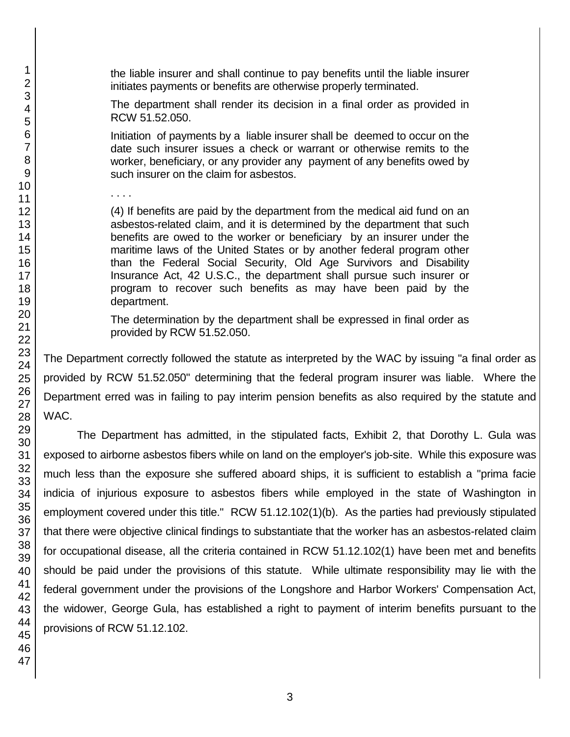the liable insurer and shall continue to pay benefits until the liable insurer initiates payments or benefits are otherwise properly terminated.

The department shall render its decision in a final order as provided in RCW 51.52.050.

Initiation of payments by a liable insurer shall be deemed to occur on the date such insurer issues a check or warrant or otherwise remits to the worker, beneficiary, or any provider any payment of any benefits owed by such insurer on the claim for asbestos.

. . . .

(4) If benefits are paid by the department from the medical aid fund on an asbestos-related claim, and it is determined by the department that such benefits are owed to the worker or beneficiary by an insurer under the maritime laws of the United States or by another federal program other than the Federal Social Security, Old Age Survivors and Disability Insurance Act, 42 U.S.C., the department shall pursue such insurer or program to recover such benefits as may have been paid by the department.

The determination by the department shall be expressed in final order as provided by RCW 51.52.050.

The Department correctly followed the statute as interpreted by the WAC by issuing "a final order as provided by RCW 51.52.050" determining that the federal program insurer was liable. Where the Department erred was in failing to pay interim pension benefits as also required by the statute and WAC.

The Department has admitted, in the stipulated facts, Exhibit 2, that Dorothy L. Gula was exposed to airborne asbestos fibers while on land on the employer's job-site. While this exposure was much less than the exposure she suffered aboard ships, it is sufficient to establish a "prima facie indicia of injurious exposure to asbestos fibers while employed in the state of Washington in employment covered under this title." RCW 51.12.102(1)(b). As the parties had previously stipulated that there were objective clinical findings to substantiate that the worker has an asbestos-related claim for occupational disease, all the criteria contained in RCW 51.12.102(1) have been met and benefits should be paid under the provisions of this statute. While ultimate responsibility may lie with the federal government under the provisions of the Longshore and Harbor Workers' Compensation Act, the widower, George Gula, has established a right to payment of interim benefits pursuant to the provisions of RCW 51.12.102.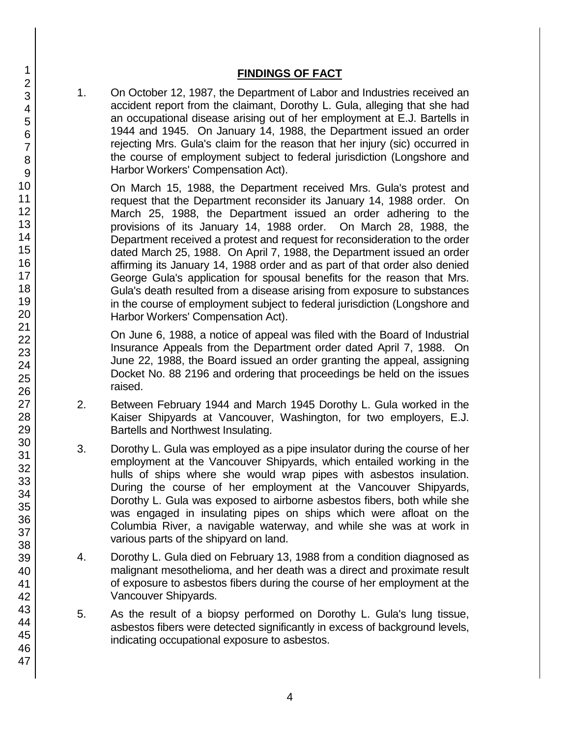## **FINDINGS OF FACT**

1. On October 12, 1987, the Department of Labor and Industries received an accident report from the claimant, Dorothy L. Gula, alleging that she had an occupational disease arising out of her employment at E.J. Bartells in 1944 and 1945. On January 14, 1988, the Department issued an order rejecting Mrs. Gula's claim for the reason that her injury (sic) occurred in the course of employment subject to federal jurisdiction (Longshore and Harbor Workers' Compensation Act).

On March 15, 1988, the Department received Mrs. Gula's protest and request that the Department reconsider its January 14, 1988 order. On March 25, 1988, the Department issued an order adhering to the provisions of its January 14, 1988 order. On March 28, 1988, the Department received a protest and request for reconsideration to the order dated March 25, 1988. On April 7, 1988, the Department issued an order affirming its January 14, 1988 order and as part of that order also denied George Gula's application for spousal benefits for the reason that Mrs. Gula's death resulted from a disease arising from exposure to substances in the course of employment subject to federal jurisdiction (Longshore and Harbor Workers' Compensation Act).

On June 6, 1988, a notice of appeal was filed with the Board of Industrial Insurance Appeals from the Department order dated April 7, 1988. On June 22, 1988, the Board issued an order granting the appeal, assigning Docket No. 88 2196 and ordering that proceedings be held on the issues raised.

- 2. Between February 1944 and March 1945 Dorothy L. Gula worked in the Kaiser Shipyards at Vancouver, Washington, for two employers, E.J. Bartells and Northwest Insulating.
- 3. Dorothy L. Gula was employed as a pipe insulator during the course of her employment at the Vancouver Shipyards, which entailed working in the hulls of ships where she would wrap pipes with asbestos insulation. During the course of her employment at the Vancouver Shipyards, Dorothy L. Gula was exposed to airborne asbestos fibers, both while she was engaged in insulating pipes on ships which were afloat on the Columbia River, a navigable waterway, and while she was at work in various parts of the shipyard on land.
- 4. Dorothy L. Gula died on February 13, 1988 from a condition diagnosed as malignant mesothelioma, and her death was a direct and proximate result of exposure to asbestos fibers during the course of her employment at the Vancouver Shipyards.
- 5. As the result of a biopsy performed on Dorothy L. Gula's lung tissue, asbestos fibers were detected significantly in excess of background levels, indicating occupational exposure to asbestos.